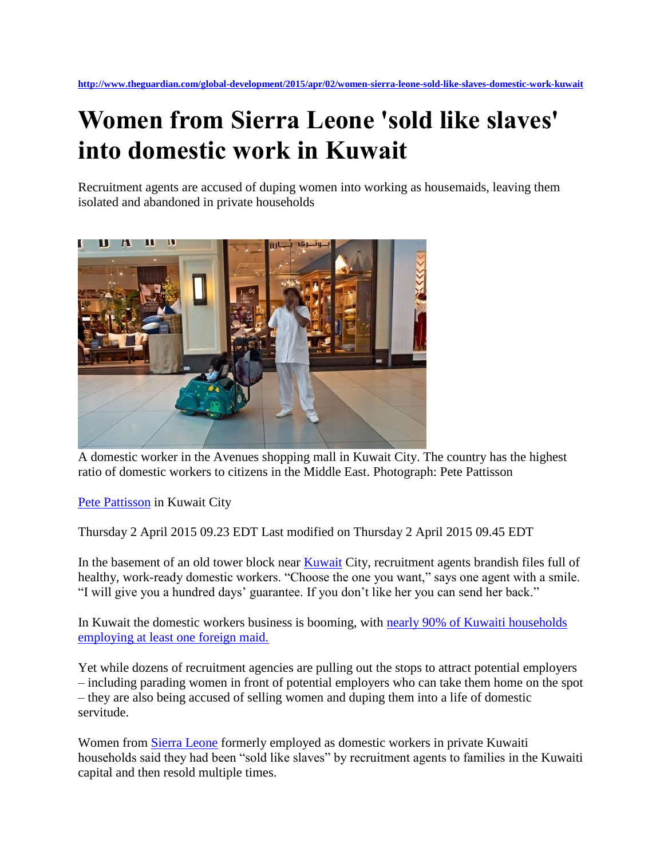## **Women from Sierra Leone 'sold like slaves' into domestic work in Kuwait**

Recruitment agents are accused of duping women into working as housemaids, leaving them isolated and abandoned in private households



A domestic worker in the Avenues shopping mall in Kuwait City. The country has the highest ratio of domestic workers to citizens in the Middle East. Photograph: Pete Pattisson

[Pete Pattisson](http://www.theguardian.com/profile/pete-pattisson) in Kuwait City

Thursday 2 April 2015 09.23 EDT Last modified on Thursday 2 April 2015 09.45 EDT

In the basement of an old tower block near [Kuwait](http://www.theguardian.com/world/kuwait) City, recruitment agents brandish files full of healthy, work-ready domestic workers. "Choose the one you want," says one agent with a smile. "I will give you a hundred days' guarantee. If you don't like her you can send her back."

In Kuwait the domestic workers business is booming, with [nearly 90% of Kuwaiti households](http://www.smc.org.ph/administrator/uploads/apmj_pdf/APMJ2002N2ART4.pdf)  [employing at least one foreign maid.](http://www.smc.org.ph/administrator/uploads/apmj_pdf/APMJ2002N2ART4.pdf)

Yet while dozens of recruitment agencies are pulling out the stops to attract potential employers – including parading women in front of potential employers who can take them home on the spot – they are also being accused of selling women and duping them into a life of domestic servitude.

Women from [Sierra Leone](http://www.theguardian.com/world/sierraleone) formerly employed as domestic workers in private Kuwaiti households said they had been "sold like slaves" by recruitment agents to families in the Kuwaiti capital and then resold multiple times.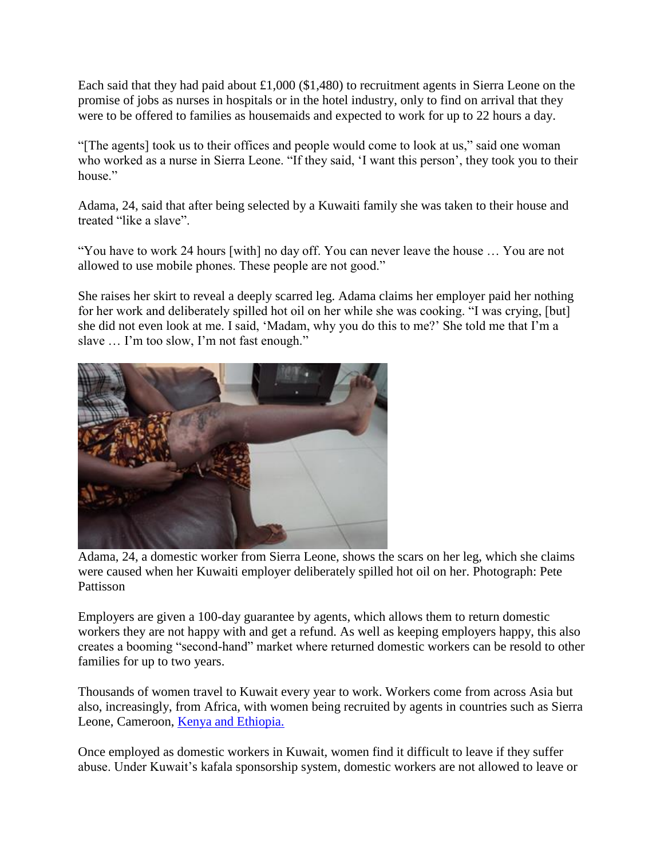Each said that they had paid about  $\pounds1,000$  (\$1,480) to recruitment agents in Sierra Leone on the promise of jobs as nurses in hospitals or in the hotel industry, only to find on arrival that they were to be offered to families as housemaids and expected to work for up to 22 hours a day.

"[The agents] took us to their offices and people would come to look at us," said one woman who worked as a nurse in Sierra Leone. "If they said, 'I want this person', they took you to their house"

Adama, 24, said that after being selected by a Kuwaiti family she was taken to their house and treated "like a slave".

"You have to work 24 hours [with] no day off. You can never leave the house … You are not allowed to use mobile phones. These people are not good."

She raises her skirt to reveal a deeply scarred leg. Adama claims her employer paid her nothing for her work and deliberately spilled hot oil on her while she was cooking. "I was crying, [but] she did not even look at me. I said, 'Madam, why you do this to me?' She told me that I'm a slave … I'm too slow, I'm not fast enough."



Adama, 24, a domestic worker from Sierra Leone, shows the scars on her leg, which she claims were caused when her Kuwaiti employer deliberately spilled hot oil on her. Photograph: Pete Pattisson

Employers are given a 100-day guarantee by agents, which allows them to return domestic workers they are not happy with and get a refund. As well as keeping employers happy, this also creates a booming "second-hand" market where returned domestic workers can be resold to other families for up to two years.

Thousands of women travel to Kuwait every year to work. Workers come from across Asia but also, increasingly, from Africa, with women being recruited by agents in countries such as Sierra Leone, Cameroon, [Kenya and Ethiopia.](http://kuwait.usembassy.gov/policy-news/tip-reports/2014-tip-report-for-kuwait.html)

Once employed as domestic workers in Kuwait, women find it difficult to leave if they suffer abuse. Under Kuwait's kafala sponsorship system, domestic workers are not allowed to leave or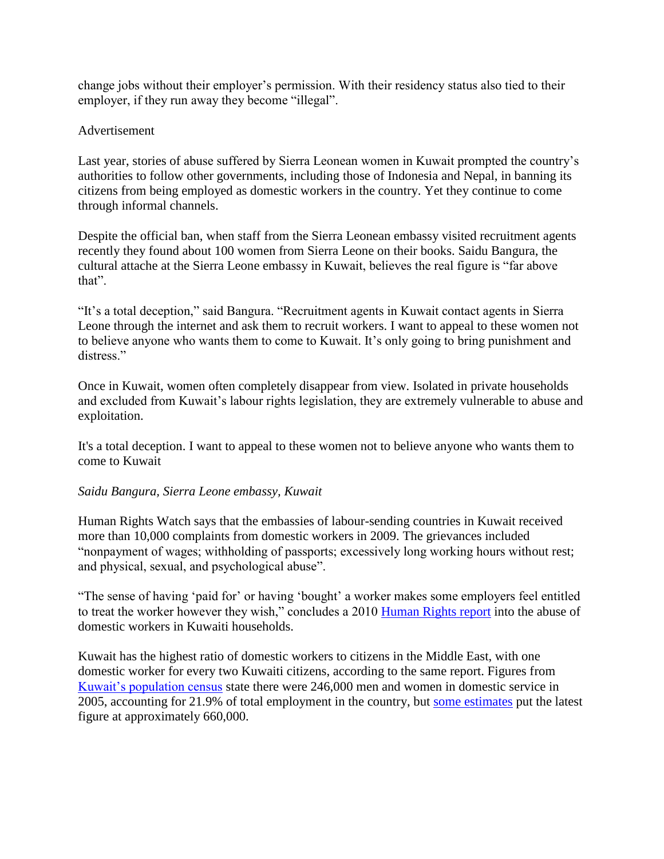change jobs without their employer's permission. With their residency status also tied to their employer, if they run away they become "illegal".

## Advertisement

Last year, stories of abuse suffered by Sierra Leonean women in Kuwait prompted the country's authorities to follow other governments, including those of Indonesia and Nepal, in banning its citizens from being employed as domestic workers in the country. Yet they continue to come through informal channels.

Despite the official ban, when staff from the Sierra Leonean embassy visited recruitment agents recently they found about 100 women from Sierra Leone on their books. Saidu Bangura, the cultural attache at the Sierra Leone embassy in Kuwait, believes the real figure is "far above that".

"It's a total deception," said Bangura. "Recruitment agents in Kuwait contact agents in Sierra Leone through the internet and ask them to recruit workers. I want to appeal to these women not to believe anyone who wants them to come to Kuwait. It's only going to bring punishment and distress."

Once in Kuwait, women often completely disappear from view. Isolated in private households and excluded from Kuwait's labour rights legislation, they are extremely vulnerable to abuse and exploitation.

It's a total deception. I want to appeal to these women not to believe anyone who wants them to come to Kuwait

## *Saidu Bangura, Sierra Leone embassy, Kuwait*

Human Rights Watch says that the embassies of labour-sending countries in Kuwait received more than 10,000 complaints from domestic workers in 2009. The grievances included "nonpayment of wages; withholding of passports; excessively long working hours without rest; and physical, sexual, and psychological abuse".

"The sense of having 'paid for' or having 'bought' a worker makes some employers feel entitled to treat the worker however they wish," concludes a 2010 [Human Rights report](http://www.hrw.org/node/93334) into the abuse of domestic workers in Kuwaiti households.

Kuwait has the highest ratio of domestic workers to citizens in the Middle East, with one domestic worker for every two Kuwaiti citizens, according to the same report. Figures from [Kuwait's population census](http://www.csb.gov.kw/Socan_Statistic_EN.aspx?ID=6) state there were 246,000 men and women in domestic service in 2005, accounting for 21.9% of total employment in the country, but [some estimates](http://www.protectionproject.org/wp-content/uploads/2013/11/Domestic-Workers-Report-2013_Electronic-Version.pdf) put the latest figure at approximately 660,000.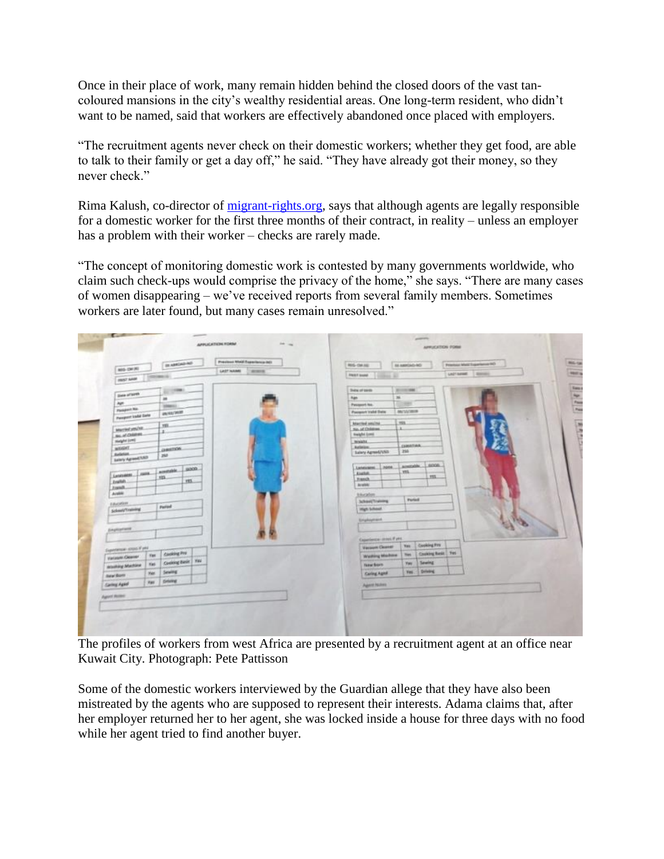Once in their place of work, many remain hidden behind the closed doors of the vast tancoloured mansions in the city's wealthy residential areas. One long-term resident, who didn't want to be named, said that workers are effectively abandoned once placed with employers.

"The recruitment agents never check on their domestic workers; whether they get food, are able to talk to their family or get a day off," he said. "They have already got their money, so they never check"

Rima Kalush, co-director of [migrant-rights.org,](http://www.migrant-rights.org/) says that although agents are legally responsible for a domestic worker for the first three months of their contract, in reality – unless an employer has a problem with their worker – checks are rarely made.

"The concept of monitoring domestic work is contested by many governments worldwide, who claim such check-ups would comprise the privacy of the home," she says. "There are many cases of women disappearing – we've received reports from several family members. Sometimes workers are later found, but many cases remain unresolved."

|                                         |             | <b>DEAMERS</b> AS  |  | President World Experience (ed) |              |  | REG-DAILY                        | RA AMPERILADO      |                     | Principal Mate Equational HD |  |
|-----------------------------------------|-------------|--------------------|--|---------------------------------|--------------|--|----------------------------------|--------------------|---------------------|------------------------------|--|
| MIG-DK (N)                              |             |                    |  | <b>GASTINAME</b>                | <b>WINDS</b> |  | <b>PRIOT GUINA</b>               |                    |                     | LAD'ARME   ROOMS             |  |
| 1922 6444                               |             |                    |  |                                 |              |  | --                               |                    |                     |                              |  |
|                                         |             | التواري            |  |                                 |              |  | <b>Sele of texts</b>             | 2010/01/08         |                     |                              |  |
| <b>Gala</b> attains                     |             | m                  |  |                                 |              |  | $\overline{\phantom{a}}$<br>Ran- |                    |                     |                              |  |
| Age                                     |             | <b>VANSEL</b>      |  |                                 |              |  | Passwort his.                    | 381                |                     |                              |  |
| Passage No.                             |             | <b>PERSONAL</b>    |  |                                 |              |  | <b>Pasquert trafel Deliv</b>     | <b>MATSAZINING</b> |                     |                              |  |
| Pempern kissa Dale                      |             |                    |  |                                 |              |  | Marchet smine                    | TEL.               |                     |                              |  |
| MATHEMATIC                              |             | <b>YE</b>          |  |                                 |              |  | No. of Children                  |                    |                     |                              |  |
| as at Datent.                           |             | 丰                  |  |                                 |              |  | <b><i>Bielght Lomb</i></b>       |                    |                     |                              |  |
| <b>Highland</b>                         |             |                    |  |                                 |              |  | mount.                           | CAMATONA.          |                     |                              |  |
| wood.                                   |             | construction.      |  |                                 |              |  | Actuate.<br>Salery Agreed/USD    | 255                |                     |                              |  |
| Aviation.<br><b>Jule's Agreed 1,523</b> |             | 250                |  |                                 |              |  |                                  |                    |                     |                              |  |
|                                         |             |                    |  |                                 |              |  | Languages.<br>none.              | aminable .         | sons.               |                              |  |
| Languages Case                          |             | ainstable 10000    |  |                                 |              |  | <b>Eaglet</b>                    | .vss.              | <b>TTS</b>          |                              |  |
| <b>Zealtatt</b>                         |             | m.<br>ves.         |  |                                 |              |  | Franch.                          |                    |                     |                              |  |
| Franklin                                |             |                    |  |                                 |              |  | Arwick!                          |                    |                     |                              |  |
| Arabic                                  |             |                    |  |                                 |              |  | <b>Mycolett</b>                  | <b>Purial</b>      |                     |                              |  |
| <b>LAUCHSTR</b><br><b>Partnel</b>       |             |                    |  |                                 |              |  | School/Training                  |                    |                     |                              |  |
| Scheel/Training                         |             |                    |  |                                 | ings tubeat. |  |                                  |                    |                     |                              |  |
|                                         |             |                    |  |                                 |              |  | Englasmann                       |                    |                     |                              |  |
| <b>Employment</b>                       |             |                    |  |                                 |              |  |                                  |                    |                     |                              |  |
|                                         |             |                    |  |                                 |              |  | Experience considers:            |                    |                     |                              |  |
|                                         |             |                    |  |                                 |              |  | Vacause Cleaner                  | Water.             | <b>Cooking Pre</b>  |                              |  |
| Experience: stock V and                 | <b>Yat</b>  | <b>Cacking Pro</b> |  |                                 |              |  | Washing Machine                  | <b>Thank</b>       | Cooking Basic 745   |                              |  |
| Valage Opens                            | Nati        | Cooking Basic Vau  |  |                                 |              |  | <b>New Born</b>                  | <b>Yat</b>         | <b>Sewing</b>       |                              |  |
| <b>Aristotra Machine</b>                | <b>Har</b>  | <b>Sewing</b>      |  |                                 |              |  | <b>Caring Aged</b>               |                    | <b>Yes. Driving</b> |                              |  |
| <b>Balan Bants</b>                      |             | <b>Delawal</b>     |  |                                 |              |  |                                  |                    |                     |                              |  |
| Caring Aged                             | <b>Fair</b> |                    |  |                                 |              |  | <b>Agent Notes</b>               |                    |                     |                              |  |
| Agoot Rome                              |             |                    |  |                                 |              |  |                                  |                    |                     |                              |  |
|                                         |             |                    |  |                                 |              |  |                                  |                    |                     |                              |  |

The profiles of workers from west Africa are presented by a recruitment agent at an office near Kuwait City. Photograph: Pete Pattisson

Some of the domestic workers interviewed by the Guardian allege that they have also been mistreated by the agents who are supposed to represent their interests. Adama claims that, after her employer returned her to her agent, she was locked inside a house for three days with no food while her agent tried to find another buyer.